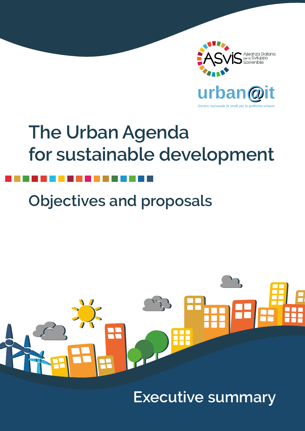

Centro nazionale di studi per le politiche u

# **The Urban Agenda for sustainable development**

# **Objectives and proposals**

# R

**Executive summary**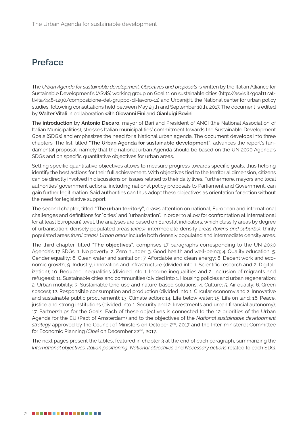## **Preface**

The *Urban Agenda for sustainable development. Objectives and proposals* is written by the Italian Alliance for Sustainable Development's (ASviS) working group on Goal 11 on sustainable cities (http://asvis.it/goal11/attivita/448-1290/composizione-del-gruppo-di-lavoro-11) and Urban@it, the National center for urban policy studies, following consultations held between May 29th and September 10th, 2017. The document is edited by **WalterVitali** in collaboration with **Giovanni Fini** and **Gianluigi Bovini**.

The **introduction** by **Antonio Decaro**, mayor of Bari and President of ANCI (the National Association of Italian Municipalities), stresses Italian municipalities' commitment towards the Sustainable Development Goals (SDGs) and emphasizes the need for a National urban agenda. The document develops into three chapters. The fist, titled **"The Urban Agenda for sustainable development"**, advances the report's fundamental proposal, namely that the national urban Agenda should be based on the UN 2030 Agenda's SDGs and on specific quantitative objectives for urban areas.

Setting specific quantitative objectives allows to measure progress towards specific goals, thus helping identify the best actions for their full achievement. With objectives tied to the territorial dimension, citizens can be directly involved in discussions on issues related to their daily lives. Furthermore, mayors and local authorities' government actions, including national policy proposals to Parliament and Government, can gain further legitimation. Said authorities can thus adopt these objectives as orientation for action without the need for legislative support.

The second chapter, titled **"The urban territory"**, draws attention on national, European and international challenges and definitions for "cities" and "urbanization". In order to allow for confrontation at international (or at least European) level, the analyses are based on Eurostat indicators, which classify areas by degree of urbanisation: densely populated areas *(cities)*; intermediate density areas *(towns and suburbs)*; thinly populated areas *(rural areas)*. *Urban areas* include both densely populated and intermediate density areas.

The third chapter, titled **"The objectives"**, comprises 17 paragraphs corresponding to the UN 2030 Agenda's 17 SDGs: 1. No poverty; 2. Zero hunger; 3. Good health and well-being; 4. Quality education; 5. Gender equality; 6. Clean water and sanitation; 7. Affordable and clean energy; 8. Decent work and economic growth; 9. Industry, innovation and infrastructure (divided into 1. Scientific research and 2. Digitalization); 10. Reduced inequalities (divided into 1. Income inequalities and 2. Inclusion of migrants and refugees); 11. Sustainable cities and communities (divided into 1. Housing policies and urban regeneration; 2. Urban mobility; 3. Sustainable land use and nature-based solutions; 4. Culture; 5. Air quality; 6. Green spaces); 12. Responsible consumption and production (divided into 1. Circular economy and 2. Innovative and sustainable public procurement); 13. Climate action; 14. Life below water; 15. Life on land; 16. Peace, justice and strong institutions (divided into 1. Security and 2. Investments and urban financial autonomy); 17. Partnerships for the Goals. Each of these objectives is connected to the 12 priorities of the Urban Agenda for the EU (Pact of Amsterdam) and to the objectives of the *National sustainable development strategy* approved by the Council of Ministers on October 2nd, 2017 and the Inter-ministerial Committee for Economic Planning *(Cipe)* on December 22nd, 2017.

The next pages present the tables, featured in chapter 3 at the end of each paragraph, summarizing the *International objectives, Italian positioning, National objectives* and *Necessary actions* related to each SDG.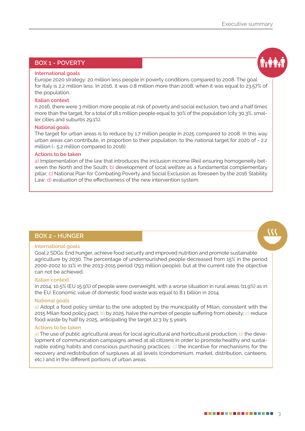### **BOX 1 - POVERTY**

### **International goals**

Europe 2020 strategy: 20 million less people in poverty conditions compared to 2008. The goal for Italy is 2.2 million less. In 2016, it was 0.8 million more than 2008, when it was equal to 23.57% of the population.

### **Italian context**

n 2016, there were 3 million more people at risk of poverty and social exclusion, two and a half times more than the target, for a total of 18.1 million people equal to 30% of the population (city 30,3%, smaller cities and suburbs 29.1%).

### **National goals**

The target for urban areas is to reduce by 1.7 million people in 2025 compared to 2008. In this way urban areas can contribute, in proportion to their population, to the national target for 2020 of - 2.2 million (- 5.2 million compared to 2016).

### **Actions to be taken**

a) Implementation of the law that introduces the inclusion income (Rei) ensuring homogeneity between the North and the South; b) development of local welfare as a fundamental complementary pillar; c) National Plan for Combating Poverty and Social Exclusion as foreseen by the 2016 Stability Law; d) evaluation of the effectiveness of the new intervention system.

### **BOX 2 - HUNGER**

### **International goals**

Goal 2 SDGs: End hunger, achieve food security and improved nutrition and promote sustainable agriculture by 2030. The percentage of undernourished people decreased from 15% in the period 2000-2002 to 11% in the 2013-2015 period (793 million people), but at the current rate the objective can not be achieved.

### **Italian context**

In 2014, 10.5% (EU 15.9%) of people were overweight, with a worse situation in rural areas (11.9%) as in the EU. Economic value of domestic food waste was equal to 8.1 billion in 2014.

### **National goals**

a) Adopt a food policy similar to the one adopted by the municipality of Milan, consistent with the 2015 Milan food policy pact; b) by 2025, halve the number of people suffering from obesity; c) reduce food waste by half by 2025, anticipating the target 12.3 by 5 years.

### **Actions to be taken**

a) The use of public agricultural areas for local agricultural and horticultural production; b) the development of communication campaigns aimed at all citizens in order to promote healthy and sustainable eating habits and conscious purchasing practices; c) the incentive for mechanisms for the recovery and redistribution of surpluses at all levels (condominium, market, distribution, canteens, etc.) and in the different portions of urban areas.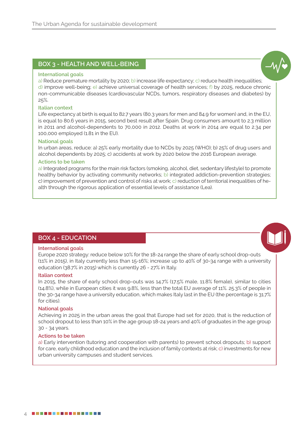### **BOX 3 - HEALTH AND WELL-BEING**

### **International goals**

a) Reduce premature mortality by 2020; b) increase life expectancy; c) reduce health inequalities;

d) improve well-being; e) achieve universal coverage of health services; f) by 2025, reduce chronic non-communicable diseases (cardiovascular NCDs, tumors, respiratory diseases and diabetes) by 25%.

### **Italian context**

Life expectancy at birth is equal to 82.7 years (80.3 years for men and 84.9 for women) and, in the EU, is equal to 80.6 years in 2015, second best result after Spain. Drug consumers amount to 2.3 million in 2011 and alcohol-dependents to 70,000 in 2012. Deaths at work in 2014 are equal to 2.34 per 100,000 employed (1.81 in the EU).

### **National goals**

In urban areas, reduce: a) 25% early mortality due to NCDs by 2025 (WHO); b) 25% of drug users and alcohol dependents by 2025; c) accidents at work by 2020 below the 2016 European average.

### **Actions to be taken**

a) Integrated programs for the main risk factors (smoking, alcohol, diet, sedentary lifestyle) to promote healthy behavior by activating community networks; b) integrated addiction-prevention strategies; c) improvement of prevention and control of risks at work; c) reduction of territorial inequalities of health through the rigorous application of essential levels of assistance (Lea).

### **BOX 4 - EDUCATION**

### **International goals**

Europe 2020 strategy: reduce below 10% for the 18-24 range the share of early school drop-outs (11% in 2015), in Italy currently less than 15-16%; increase up to 40% of 30-34 range with a university education (38.7% in 2015) which is currently 26 - 27% in Italy.

### **Italian context**

In 2015, the share of early school drop-outs was 14.7% (17.5% male, 11.8% female), similar to cities (14.8%), while in European cities it was 9.8%, less than the total EU average of 11%. 25.3% of people in the 30-34 range have a university education, which makes Italy last in the EU (the percentage is 31.7% for cities).

### **National goals**

Achieving in 2025 in the urban areas the goal that Europe had set for 2020, that is the reduction of school dropout to less than 10% in the age group 18-24 years and 40% of graduates in the age group 30 - 34 years.

### **Actions to be taken**

a) Early intervention (tutoring and cooperation with parents) to prevent school dropouts; b) support for care, early childhood education and the inclusion of family contexts at risk; c) investments for new urban university campuses and student services.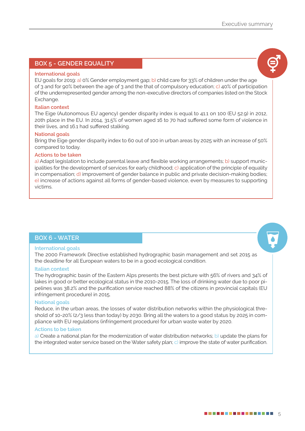### **BOX 5 - GENDER EQUALITY**

### **International goals**

EU goals for 2019: a) 0% Gender employment gap; b) child care for 33% of children under the age of 3 and for 90% between the age of 3 and the that of compulsory education; c) 40% of participation of the underrepresented gender among the non-executive directors of companies listed on the Stock Exchange.

### **Italian context**

The Eige (Autonomous EU agency) gender disparity index is equal to 41.1 on 100 (EU 52.9) in 2012, 20th place in the EU. In 2014, 31.5% of women aged 16 to 70 had suffered some form of violence in their lives, and 16.1 had suffered stalking.

### **National goals**

Bring the Eige gender disparity index to 60 out of 100 in urban areas by 2025 with an increase of 50% compared to today.

### **Actions to be taken**

a) Adapt legislation to include parental leave and flexible working arrangements; b) support municipalities for the development of services for early childhood; c) application of the principle of equality in compensation; d) improvement of gender balance in public and private decision-making bodies; e) increase of actions against all forms of gender-based violence, even by measures to supporting victims.

### **BOX 6 - WATER**

### **International goals**

The 2000 Framework Directive established hydrographic basin management and set 2015 as the deadline for all European waters to be in a good ecological condition.

### **Italian context**

The hydrographic basin of the Eastern Alps presents the best picture with 56% of rivers and 34% of lakes in good or better ecological status in the 2010-2015. The loss of drinking water due to poor pipelines was 38.2% and the purification service reached 88% of the citizens in provincial capitals (EU infringement procedure) in 2015.

### **National goals**

Reduce, in the urban areas, the losses of water distribution networks within the physiological threshold of 10-20% (2/3 less than today) by 2030. Bring all the waters to a good status by 2025 in compliance with EU regulations (infringement procedure) for urban waste water by 2020.

### **Actions to be taken**

a) Create a national plan for the modernization of water distribution networks; b) update the plans for the integrated water service based on the Water safety plan; c) improve the state of water purification.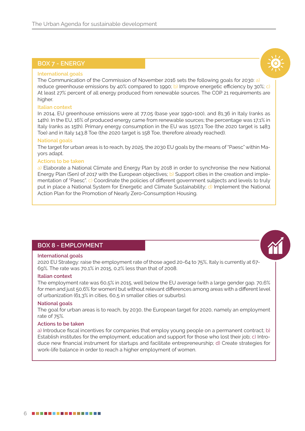### **BOX 7 - ENERGY**

### **International goals**

The Communication of the Commission of November 2016 sets the following goals for 2030: a) reduce greenhouse emissions by 40% compared to 1990; b) Improve energetic efficiency by 30%; c) At least 27% percent of all energy produced from renewable sources. The COP 21 requirements are higher.

### **Italian context**

In 2014, EU greenhouse emissions were at 77,05 (base year 1990=100), and 81,36 in Italy (ranks as 14th). In the EU, 16% of produced energy came from renewable sources; the percentage was 17,1% in Italy (ranks as 15th). Primary energy consumption in the EU was 1507,1 Toe (the 2020 target is 1483 Toe) and in Italy 143,8 Toe (the 2020 target is 158 Toe, therefore already reached).

### **National goals**

The target for urban areas is to reach, by 2025, the 2030 EU goals by the means of "Paesc" within Mayors adapt.

### **Actions to be taken**

a) Elaborate a National Climate and Energy Plan by 2018 in order to synchronise the new National Energy Plan (Sen) of 2017 with the European objectives; b) Support cities in the creation and implementation of "Paesc". c) Coordinate the policies of different government subjects and levels to truly put in place a National System for Energetic and Climate Sustainability; d) Implement the National Action Plan for the Promotion of Nearly Zero-Consumption Housing.

### **BOX 8 - EMPLOYMENT**

### **International goals**

2020 EU Strategy: raise the employment rate of those aged 20-64 to 75%, Italy is currently at 67- 69%. The rate was 70,1% in 2015, 0,2% less than that of 2008.

### **Italian context**

The employment rate was 60,5% in 2015, well below the EU average (with a large gender gap. 70,6% for men and just 50,6% for women) but without relevant differences among areas with a different level of urbanization (61,3% in cities, 60,5 in smaller cities or suburbs).

### **National goals**

The goal for urban areas is to reach, by 2030, the European target for 2020, namely an employment rate of 75%.

### **Actions to be taken**

a) Introduce fiscal incentives for companies that employ young people on a permanent contract; b) Establish institutes for the employment, education and support for those who lost their job; c) Introduce new financial instrument for startups and facilitate entrepreneurship; d) Create strategies for work-life balance in order to reach a higher employment of women.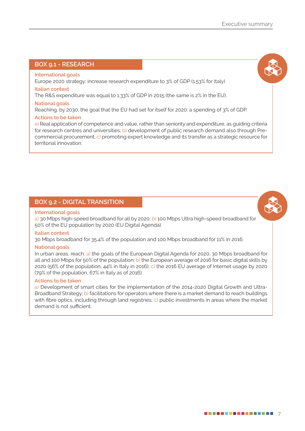### **BOX 9.1 - RESEARCH**

### **International goals**

Europe 2020 strategy: increase research expenditure to 3% of GDP (1.53% for Italy)

### **Italian context**

The R&S expenditure was equal to 1.33% of GDP in 2015 (the same is 2% in the EU).

### **National goals**

Reaching, by 2030, the goal that the EU had set for itself for 2020: a spending of 3% of GDP.

### **Actions to be taken**

a) Real application of competence and value, rather than seniority and expenditure, as guiding criteria for research centres and universities; b) development of public research demand also through Precommercial procurement; c) promoting expert knowledge and its transfer as a strategic resource for territorial innovation.

### **BOX 9.2 - DIGITAL TRANSITION**

### **International goals**

a) 30 Mbps high-speed broadband for all by 2020; b) 100 Mbps Ultra high-speed broadband for 50% of the EU population by 2020 (EU Digital Agenda).

### **Italian context**

30 Mbps broadband for 35.4% of the population and 100 Mbps broadband for 11% in 2016.

### **National goals**

In urban areas, reach: a) the goals of the European Digital Agenda for 2020, 30 Mbps broadband for all and 100 Mbps for 50% of the population; b) the European average of 2016 for basic digital skills by 2020 (56% of the population, 44% in Italy in 2016); c) the 2016 EU average of Internet usage by 2020 (79% of the population, 67% in Italy as of 2016).

### **Actions to be taken**

a) Development of smart cities for the implementation of the 2014-2020 Digital Growth and Ultra-Broadband Strategy; b) facilitations for operators where there is a market demand to reach buildings with fibre optics, including through land registries; c) public investments in areas where the market demand is not sufficient.

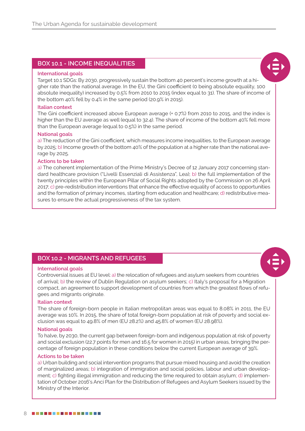### **BOX 10.1 - INCOME INEQUALITIES**

### **International goals**

Target 10.1 SDGs: By 2030, progressively sustain the bottom 40 percent's income growth at a higher rate than the national average. In the EU, the Gini coefficient (0 being absolute equality, 100 absolute inequality) increased by 0.5% from 2010 to 2015 (index equal to 31). The share of income of the bottom 40% fell by 0.4% in the same period (20.9% in 2015).

### **Italian context**

The Gini coefficient increased above European average (+ 0.7%) from 2010 to 2015, and the index is higher than the EU average as well (equal to 32.4). The share of income of the bottom 40% fell more than the European average (equal to 0.5%) in the same period.

### **National goals**

a) The reduction of the Gini coefficient, which measures income inequalities, to the European average by 2025; b) Income growth of the bottom 40% of the population at a higher rate than the national average by 2025.

### **Actions to be taken**

a) The coherent implementation of the Prime Ministry's Decree of 12 January 2017 concerning standard healthcare provision ("Livelli Essenziali di Assistenza", Lea); b) the full implementation of the twenty principles within the European Pillar of Social Rights adopted by the Commission on 26 April 2017; c) pre-redistribution interventions that enhance the effective equality of access to opportunities and the formation of primary incomes, starting from education and healthcare; d) redistributive measures to ensure the actual progressiveness of the tax system.

### **BOX 10.2 - MIGRANTS AND REFUGEES**

### **International goals**

Controversial issues at EU level: a) the relocation of refugees and asylum seekers from countries of arrival; b) the review of Dublin Regulation on asylum seekers; c) Italy's proposal for a Migration compact, an agreement to support development of countries from which the greatest flows of refugees and migrants originate.

### **Italian context**

The share of foreign-born people in Italian metropolitan areas was equal to 8.08% in 2011, the EU average was 10%. In 2015, the share of total foreign-born population at risk of poverty and social exclusion was equal to 49.8% of men (EU 28.2%) and 45.8% of women (EU 28.98%).

### **National goals**

To halve, by 2030, the current gap between foreign-born and indigenous population at risk of poverty and social exclusion (22.7 points for men and 16.5 for women in 2015) in urban areas, bringing the percentage of foreign population in these conditions below the current European average of 39%.

### **Actions to be taken**

a) Urban building and social intervention programs that pursue mixed housing and avoid the creation of marginalized areas; b) integration of immigration and social policies, labour and urban development; c) fighting illegal immigration and reducing the time required to obtain asylum; d) implementation of October 2016's Anci Plan for the Distribution of Refugees and Asylum Seekers issued by the Ministry of the Interior.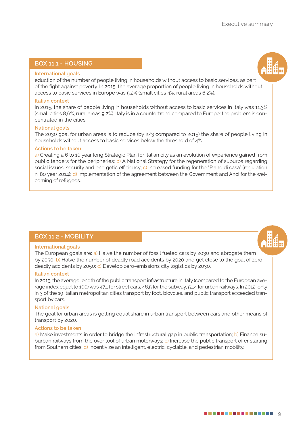### **BOX 11.1 - HOUSING**

### **International goals**

eduction of the number of people living in households without access to basic services, as part of the fight against poverty. In 2015, the average proportion of people living in households without access to basic services in Europe was 5,2% (small cities 4%, rural areas 6,2%).

### **Italian context**

In 2015, the share of people living in households without access to basic services in Italy was 11,3% (small cities 8,6%, rural areas 9,2%). Italy is in a countertrend compared to Europe: the problem is concentrated in the cities.

### **National goals**

The 2030 goal for urban areas is to reduce (by 2/3 compared to 2015) the share of people living in households without access to basic services below the threshold of 4%.

### **Actions to be taken**

a) Creating a 6 to 10 year long Strategic Plan for Italian city as an evolution of experience gained from public tenders for the peripheries: b) A National Strategy for the regeneration of suburbs regarding social issues, security and energetic efficiency; c) Increased funding for the "Piano di casa" (regulation n. 80 year 2014); d) Implementation of the agreement between the Government and Anci for the welcoming of refugees.

### **BOX 11.2 - MOBILITY**

### **International goals**

The European goals are: a) Halve the number of fossil fueled cars by 2030 and abrogate them by 2050; b) Halve the number of deadly road accidents by 2020 and get close to the goal of zero deadly accidents by 2050; c) Develop zero-emissions city logistics by 2030.

### **Italian context**

In 2015, the average length of the public transport infrastructure in Italy (compared to the European average index equal to 100) was 47,1 for street cars, 46,5 for the subway, 51,4 for urban railways. In 2012, only in 3 of the 19 Italian metropolitan cities transport by foot, bicycles, and public transport exceeded transport by cars.

### **National goals**

The goal for urban areas is getting equal share in urban transport between cars and other means of transport by 2020.

### **Actions to be taken**

a) Make investments in order to bridge the infrastructural gap in public transportation; b) Finance suburban railways from the over tool of urban motorways; c) Increase the public transport offer starting from Southern cities; d) Incentivize an intelligent, electric, cyclable, and pedestrian mobility.

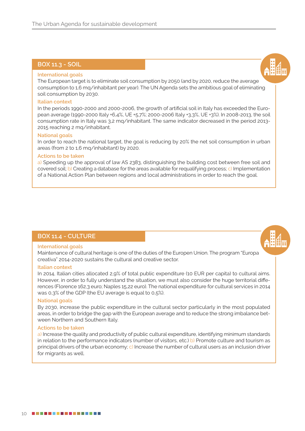### **BOX 11.3 - SOIL**

### **International goals**

The European target is to eliminate soil consumption by 2050 (and by 2020, reduce the average consumption to 1,6 mq/inhabitant per year). The UN Agenda sets the ambitious goal of eliminating soil consumption by 2030.

### **Italian context**

In the periods 1990-2000 and 2000-2006, the growth of artificial soil in Italy has exceeded the European average (1990-2000 Italy +6,4%, UE +5,7%; 2000-2006 Italy +3,3%, UE +3%). In 2008-2013, the soil consumption rate in Italy was 3,2 mq/inhabitant. The same indicator decreased in the period 2013- 2015 reaching 2 mq/inhabitant.

### **National goals**

In order to reach the national target, the goal is reducing by 20% the net soil consumption in urban areas (from 2 to 1,6 mq/inhabitant) by 2020.

### **Actions to be taken**

a) Speeding up the approval of law AS 2383, distinguishing the building cost between free soil and covered soil; b) Creating a database for the areas available for requalifying process; c) Implementation of a National Action Plan between regions and local administrations in order to reach the goal.

### **BOX 11.4 - CULTURE**

### **International goals**

Maintenance of cultural heritage is one of the duties of the Europen Union. The program "Europa creativa" 2014-2020 sustains the cultural and creative sector.

### **Italian context**

In 2014, Italian cities allocated 2,9% of total public expenditure (10 EUR per capita) to cultural aims. However, in order to fully understand the situation, we must also consider the huge territorial differences (Florence 162,3 euro; Naples 15,22 euro). The national expenditure for cultural services in 2014 was 0,3% of the GDP (the EU average is equal to 0,5%).

### **National goals**

By 2030, increase the public expenditure in the cultural sector particularly in the most populated areas, in order to bridge the gap with the European average and to reduce the strong imbalance between Northern and Southern Italy.

### **Actions to be taken**

a) Increase the quality and productivity of public cultural expenditure, identifying minimum standards in relation to the performance indicators (number of visitors, etc.) b) Promote culture and tourism as principal drivers of the urban economy; c) Increase the number of cultural users as an inclusion driver for migrants as well.

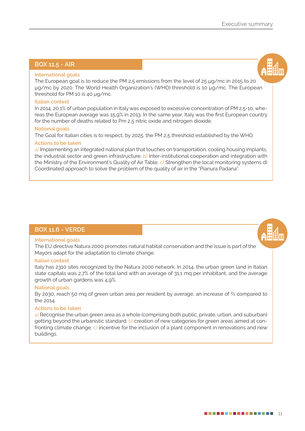### **BOX 11.5 - AIR**

### **International goals**

The European goal is to reduce the PM 2,5 emissions from the level of 25 µg/mc in 2015 to 20 µg/mc by 2020. The World Health Organization's (WHO) threshold is 10 µg/mc. The European threshold for PM 10 is 40 µg/mc.

### **Italian context**

In 2014, 20,1% of urban population in Italy was exposed to excessive concentration of PM 2,5-10, whereas the European average was 15,9% in 2013. In the same year, Italy was the first European country for the number of deaths related to Pm 2,5 nitric oxide and nitrogen dioxide.

### **National goals**

The Goal for Italian cities is to respect, by 2025, the PM 2,5 threshold established by the WHO.

### **Actions to be taken**

a) Implementing an integrated national plan that touches on transportation, cooling housing implants, the industrial sector and green infrastructure. b) Inter-institutional cooperation and integration with the Ministry of the Environment's Quality of Air Table; c) Strengthen the local monitoring systems d) Coordinated approach to solve the problem of the quality of air in the "Pianura Padana".

### **BOX 11.6 - VERDE**

### **International goals**

The EU directive Natura 2000 promotes natural habitat conservation and the issue is part of the Mayors adapt for the adaptation to climate change.

### **Italian context**

Italy has 2310 sites recognized by the Natura 2000 network. In 2014, the urban green land in Italian state capitals was 2,7% of the total land with an average of 31,1 mq per inhabitant, and the average growth of urban gardens was 4,9%.

### **National goals**

By 2030, reach 50 mq of green urban area per resident by average, an increase of ⅔ compared to the 2014.

### **Actions to be taken**

a) Recognise the urban green area as a whole (comprising both public, private, urban, and suburban) getting beyond the urbanistic standard; b) creation of new categories for green areas aimed at confronting climate change; c) incentive for the inclusion of a plant component in renovations and new buildings.

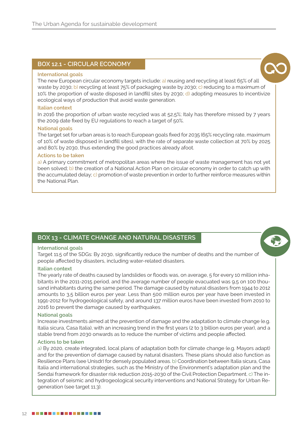### **BOX 12.1 - CIRCULAR ECONOMY**

### **International goals**



The new European circular economy targets include: a) reusing and recycling at least 65% of all waste by 2030; b) recycling at least 75% of packaging waste by 2030; c) reducing to a maximum of 10% the proportion of waste disposed in landfill sites by 2030; d) adopting measures to incentivize ecological ways of production that avoid waste generation.

### **Italian context**

In 2016 the proportion of urban waste recycled was at 52,5%; Italy has therefore missed by 7 years the 2009 date fixed by EU regulations to reach a target of 50%.

### **National goals**

The target set for urban areas is to reach European goals fixed for 2035 (65% recycling rate, maximum of 10% of waste disposed in landfill sites), with the rate of separate waste collection at 70% by 2025 and 80% by 2030, thus extending the good practices already afoot.

### **Actions to be taken**

a) A primary commitment of metropolitan areas where the issue of waste management has not yet been solved; b) the creation of a National Action Plan on circular economy in order to catch up with the accumulated delay; c) promotion of waste prevention in order to further reinforce measures within the National Plan.

### **BOX 13 - CLIMATE CHANGE AND NATURAL DISASTERS**

### **International goals**

Target 11.5 of the SDGs: By 2030, significantly reduce the number of deaths and the number of people affected by disasters, including water-related disasters.

### **Italian context**

The yearly rate of deaths caused by landslides or floods was, on average, 5 for every 10 million inhabitants in the 2011-2015 period, and the average number of people evacuated was 9,5 on 100 thousand inhabitants during the same period. The damage caused by natural disasters from 1944 to 2012 amounts to 3,5 billion euros per year. Less than 500 million euros per year have been invested in 1991-2012 for hydrogeological safety, and around 137 million euros have been invested from 2010 to 2016 to prevent the damage caused by earthquakes.

### **National goals**

Increase investments aimed at the prevention of damage and the adaptation to climate change (e.g. Italia sicura, Casa Italia), with an increasing trend in the first years (2 to 3 billion euros per year), and a stable trend from 2030 onwards as to reduce the number of victims and people affected.

### **Actions to be taken**

a) By 2020, create integrated, local plans of adaptation both for climate change (e.g. Mayors adapt) and for the prevention of damage caused by natural disasters. These plans should also function as Resilience Plans (see Unisdr) for densely populated areas. b) Coordination between Italia sicura, Casa Italia and international strategies, such as the Ministry of the Environment's adaptation plan and the Sendai framework for disaster risk reduction 2015-2030 of the Civil Protection Department. c) The integration of seismic and hydrogeological security interventions and National Strategy for Urban Regeneration (see target 11.3).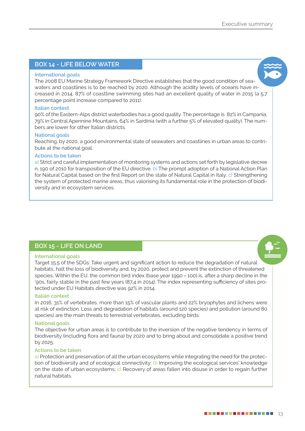### **BOX 14 - LIFE BELOW WATER**

### **International goals**

The 2008 EU Marine Strategy Framework Directive establishes that the good condition of seawaters and coastlines is to be reached by 2020. Although the acidity levels of oceans have increased in 2014, 87% of coastline swimming sites had an excellent quality of water in 2015 (a 5,7 percentage point increase compared to 2011).

### **Italian context**

90% of the Eastern-Alps district waterbodies has a good quality. The percentage is 82% in Campania, 79% in Central Apennine Mountains, 64% in Sardinia (with a further 5% of elevated quality). The numbers are lower for other Italian districts.

### **National goals**

Reaching, by 2020, a good environmental state of seawaters and coastlines in urban areas to contribute at the national goal.

### **Actions to be taken**

a) Strict and careful implementation of monitoring systems and actions set forth by legislative decree n. 190 of 2010 for transposition of the EU directive. b) The prompt adoption of a National Action Plan for Natural Capital based on the first Report on the state of Natural Capital in Italy. c) Strengthening the system of protected marine areas, thus valorising its fundamental role in the protection of biodiversity and in ecosystem services.

### **BOX 15 - LIFE ON LAND**

### **International goals**

Target 15.5 of the SDGs: Take urgent and significant action to reduce the degradation of natural habitats, halt the loss of biodiversity and, by 2020, protect and prevent the extinction of threatened species. Within the EU, the common bird index (base year 1990 = 100) is, after a sharp decline in the '90s, fairly stable in the past few years (87,4 in 2014). The index representing sufficiency of sites protected under EU Habitats directive was 92% in 2014.

### **Italian context**

In 2016, 31% of vertebrates, more than 15% of vascular plants and 22% bryophytes and lichens were at risk of extinction. Loss and degradation of habitats (around 120 species) and pollution (around 80 species) are the main threats to terrestrial vertebrates, excluding birds.

### **National goals**

The objective for urban areas is to contribute to the inversion of the negative tendency in terms of biodiversity (including flora and fauna) by 2020 and to bring about and consolidate a positive trend by 2025.

### **Actions to be taken**

a) Protection and preservation of all the urban ecosystems while integrating the need for the protection of biodiversity and of ecological connectivity; b) Improving the ecological services' knowledge on the state of urban ecosystems; c) Recovery of areas fallen into disuse in order to regain further natural habitats.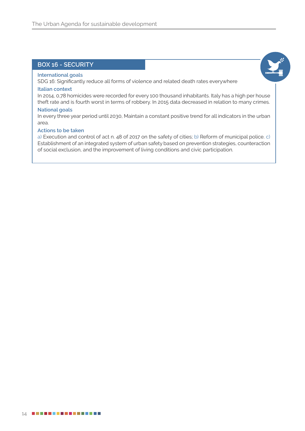### **BOX 16 - SECURITY**

### **International goals**

SDG 16: Significantly reduce all forms of violence and related death rates everywhere

### **Italian context**

In 2014, 0,78 homicides were recorded for every 100 thousand inhabitants. Italy has a high per house theft rate and is fourth worst in terms of robbery. In 2015 data decreased in relation to many crimes.

### **National goals**

In every three year period until 2030, Maintain a constant positive trend for all indicators in the urban area.

### **Actions to be taken**

a) Execution and control of act n. 48 of 2017 on the safety of cities; b) Reform of municipal police. c) Establishment of an integrated system of urban safety based on prevention strategies, counteraction of social exclusion, and the improvement of living conditions and civic participation.